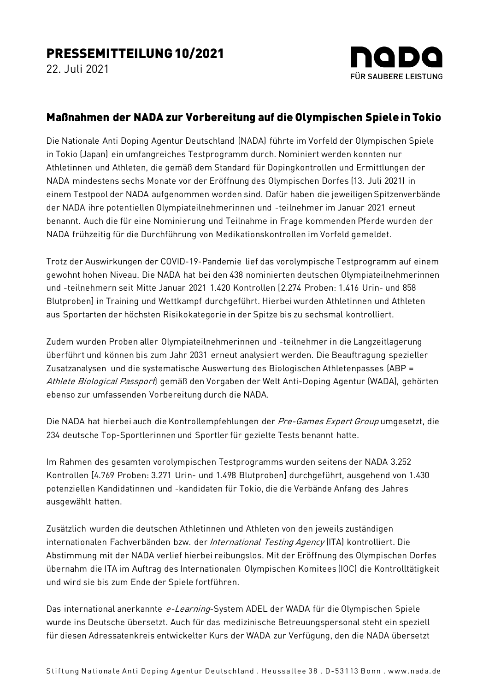22. Juli 2021



## Maßnahmen der NADA zur Vorbereitung auf die Olympischen Spiele in Tokio

Die Nationale Anti Doping Agentur Deutschland (NADA) führte im Vorfeld der Olympischen Spiele in Tokio (Japan) ein umfangreiches Testprogramm durch. Nominiert werden konnten nur Athletinnen und Athleten, die gemäß dem Standard für Dopingkontrollen und Ermittlungen der NADA mindestens sechs Monate vor der Eröffnung des Olympischen Dorfes (13. Juli 2021) in einem Testpool der NADA aufgenommen worden sind. Dafür haben die jeweiligen Spitzenverbände der NADA ihre potentiellen Olympiateilnehmerinnen und -teilnehmer im Januar 2021 erneut benannt. Auch die für eine Nominierung und Teilnahme in Frage kommenden Pferde wurden der NADA frühzeitig für die Durchführung von Medikationskontrollen im Vorfeld gemeldet.

Trotz der Auswirkungen der COVID-19-Pandemie lief das vorolympische Testprogramm auf einem gewohnt hohen Niveau. Die NADA hat bei den 438 nominierten deutschen Olympiateilnehmerinnen und -teilnehmern seit Mitte Januar 2021 1.420 Kontrollen [2.274 Proben: 1.416 Urin- und 858 Blutproben] in Training und Wettkampf durchgeführt. Hierbei wurden Athletinnen und Athleten aus Sportarten der höchsten Risikokategorie in der Spitze bis zu sechsmal kontrolliert.

Zudem wurden Proben aller Olympiateilnehmerinnen und -teilnehmer in die Langzeitlagerung überführt und können bis zum Jahr 2031 erneut analysiert werden. Die Beauftragung spezieller Zusatzanalysen und die systematische Auswertung des Biologischen Athletenpasses (ABP = Athlete Biological Passport gemäß den Vorgaben der Welt Anti-Doping Agentur (WADA), gehörten ebenso zur umfassenden Vorbereitung durch die NADA.

Die NADA hat hierbei auch die Kontrollempfehlungen der Pre-Games Expert Group umgesetzt, die 234 deutsche Top-Sportlerinnen und Sportler für gezielte Tests benannt hatte.

Im Rahmen des gesamten vorolympischen Testprogramms wurden seitens der NADA 3.252 Kontrollen [4.769 Proben: 3.271 Urin- und 1.498 Blutproben] durchgeführt, ausgehend von 1.430 potenziellen Kandidatinnen und -kandidaten für Tokio, die die Verbände Anfang des Jahres ausgewählt hatten.

Zusätzlich wurden die deutschen Athletinnen und Athleten von den jeweils zuständigen internationalen Fachverbänden bzw. der *International Testing Agency* (ITA) kontrolliert. Die Abstimmung mit der NADA verlief hierbei reibungslos. Mit der Eröffnung des Olympischen Dorfes übernahm die ITA im Auftrag des Internationalen Olympischen Komitees (IOC) die Kontrolltätigkeit und wird sie bis zum Ende der Spiele fortführen.

Das international anerkannte e-Learning-System ADEL der WADA für die Olympischen Spiele wurde ins Deutsche übersetzt. Auch für das medizinische Betreuungspersonal steht ein speziell für diesen Adressatenkreis entwickelter Kurs der WADA zur Verfügung, den die NADA übersetzt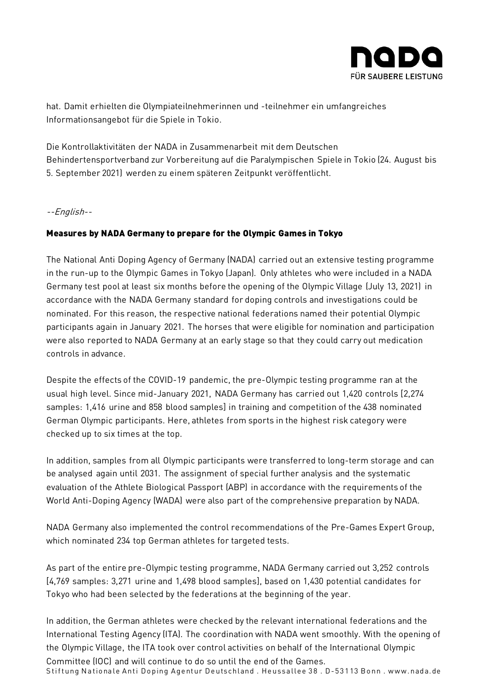

hat. Damit erhielten die Olympiateilnehmerinnen und -teilnehmer ein umfangreiches Informationsangebot für die Spiele in Tokio.

Die Kontrollaktivitäten der NADA in Zusammenarbeit mit dem Deutschen Behindertensportverband zur Vorbereitung auf die Paralympischen Spiele in Tokio (24. August bis 5. September 2021) werden zu einem späteren Zeitpunkt veröffentlicht.

--English--

## Measures by NADA Germany to prepare for the Olympic Games in Tokyo

The National Anti Doping Agency of Germany (NADA) carried out an extensive testing programme in the run-up to the Olympic Games in Tokyo (Japan). Only athletes who were included in a NADA Germany test pool at least six months before the opening of the Olympic Village (July 13, 2021) in accordance with the NADA Germany standard for doping controls and investigations could be nominated. For this reason, the respective national federations named their potential Olympic participants again in January 2021. The horses that were eligible for nomination and participation were also reported to NADA Germany at an early stage so that they could carry out medication controls in advance.

Despite the effects of the COVID-19 pandemic, the pre-Olympic testing programme ran at the usual high level. Since mid-January 2021, NADA Germany has carried out 1,420 controls [2,274 samples: 1,416 urine and 858 blood samples] in training and competition of the 438 nominated German Olympic participants. Here, athletes from sports in the highest risk category were checked up to six times at the top.

In addition, samples from all Olympic participants were transferred to long-term storage and can be analysed again until 2031. The assignment of special further analysis and the systematic evaluation of the Athlete Biological Passport (ABP) in accordance with the requirements of the World Anti-Doping Agency (WADA) were also part of the comprehensive preparation by NADA.

NADA Germany also implemented the control recommendations of the Pre-Games Expert Group, which nominated 234 top German athletes for targeted tests.

As part of the entire pre-Olympic testing programme, NADA Germany carried out 3,252 controls [4,769 samples: 3,271 urine and 1,498 blood samples], based on 1,430 potential candidates for Tokyo who had been selected by the federations at the beginning of the year.

Stiftung Nationale Anti Doping Agentur Deutschland . Heussallee 38 . D-53113 Bonn . www.nada.de In addition, the German athletes were checked by the relevant international federations and the International Testing Agency (ITA). The coordination with NADA went smoothly. With the opening of the Olympic Village, the ITA took over control activities on behalf of the International Olympic Committee (IOC) and will continue to do so until the end of the Games.